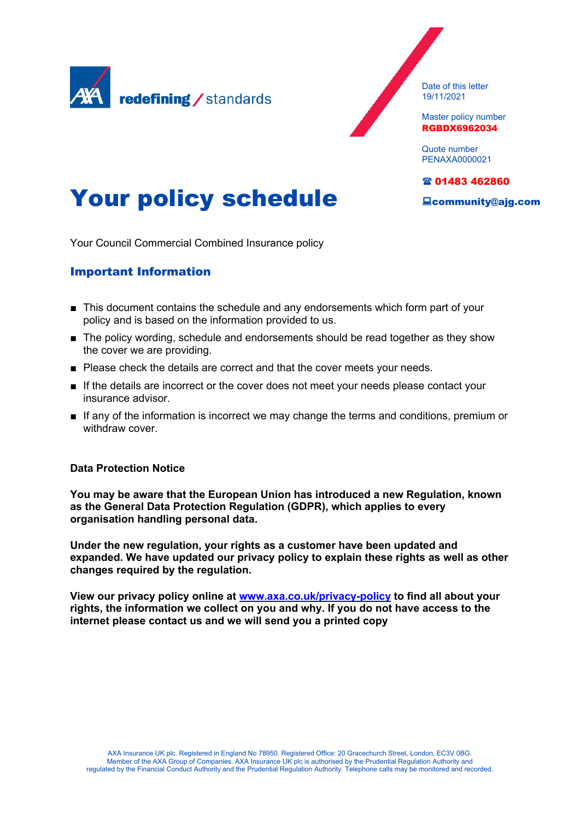

Date of this letter 19/11/2021

Master policy number RGBDX6962034

Quote number PENAXA0000021

### 01483 462860

community@ajg.com

# Your policy schedule

Your Council Commercial Combined Insurance policy

# Important Information

- This document contains the schedule and any endorsements which form part of your policy and is based on the information provided to us.
- The policy wording, schedule and endorsements should be read together as they show the cover we are providing.
- Please check the details are correct and that the cover meets your needs.
- **■** If the details are incorrect or the cover does not meet your needs please contact your insurance advisor.
- If any of the information is incorrect we may change the terms and conditions, premium or withdraw cover.

# **Data Protection Notice**

**You may be aware that the European Union has introduced a new Regulation, known as the General Data Protection Regulation (GDPR), which applies to every organisation handling personal data.**

**Under the new regulation, your rights as a customer have been updated and expanded. We have updated our privacy policy to explain these rights as well as other changes required by the regulation.**

**View our privacy policy online at [www.axa.co.uk/privacy-policy](https://www.axa.co.uk/privacy-policy) to find all about your rights, the information we collect on you and why. If you do not have access to the internet please contact us and we will send you a printed copy**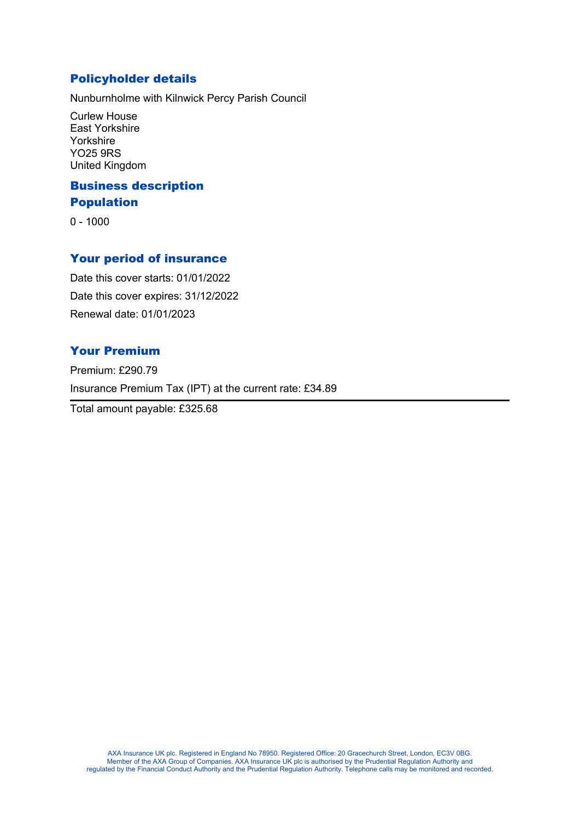# Policyholder details

Nunburnholme with Kilnwick Percy Parish Council

Curlew House East Yorkshire Yorkshire YO25 9RS United Kingdom

# Business description Population

0 - 1000

# Your period of insurance

Date this cover starts: 01/01/2022 Date this cover expires: 31/12/2022 Renewal date: 01/01/2023

# Your Premium

Premium: £290.79 Insurance Premium Tax (IPT) at the current rate: £34.89

Total amount payable: £325.68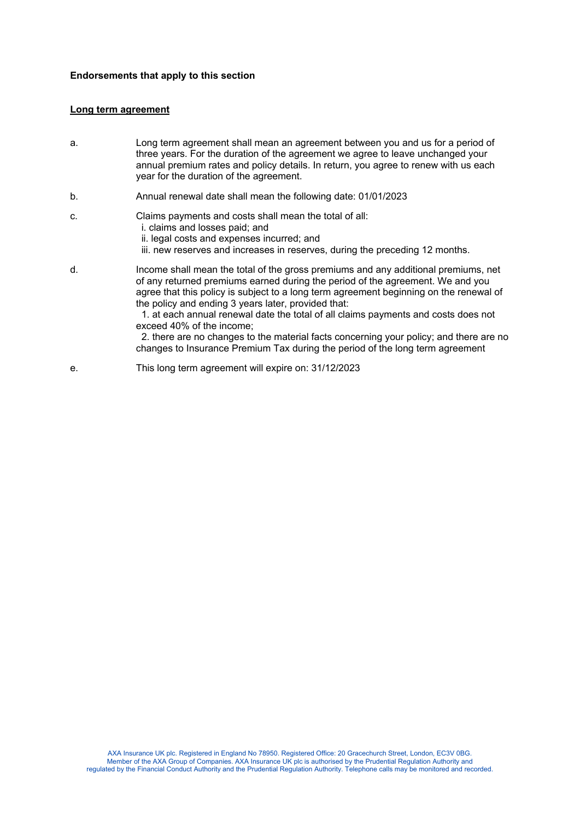### **Endorsements that apply to this section**

### **Long term agreement**

- a. Long term agreement shall mean an agreement between you and us for a period of three years. For the duration of the agreement we agree to leave unchanged your annual premium rates and policy details. In return, you agree to renew with us each year for the duration of the agreement.
- b. Annual renewal date shall mean the following date: 01/01/2023

### c. Claims payments and costs shall mean the total of all: i. claims and losses paid; and

- ii. legal costs and expenses incurred; and
- iii. new reserves and increases in reserves, during the preceding 12 months.
- d. Income shall mean the total of the gross premiums and any additional premiums, net of any returned premiums earned during the period of the agreement. We and you agree that this policy is subject to a long term agreement beginning on the renewal of the policy and ending 3 years later, provided that:

 1. at each annual renewal date the total of all claims payments and costs does not exceed 40% of the income;

 2. there are no changes to the material facts concerning your policy; and there are no changes to Insurance Premium Tax during the period of the long term agreement

e. This long term agreement will expire on: 31/12/2023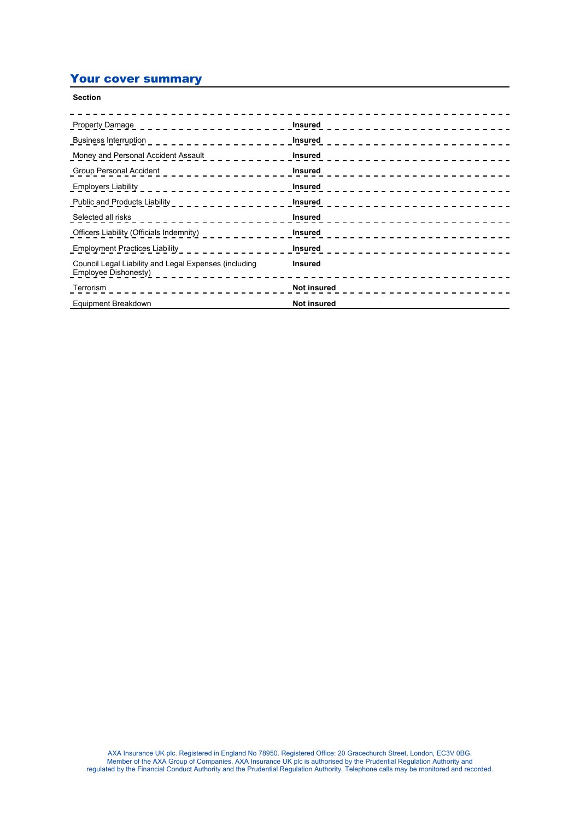# Your cover summary

| <b>Section</b>                                                                                                                                                                                                                                                                                                 |                                                    |
|----------------------------------------------------------------------------------------------------------------------------------------------------------------------------------------------------------------------------------------------------------------------------------------------------------------|----------------------------------------------------|
| <b>Property Damage</b><br>__________________                                                                                                                                                                                                                                                                   | Insured<br>------------------------                |
|                                                                                                                                                                                                                                                                                                                | <b>Insured</b><br>------------------------         |
| Money and Personal Accident Assault ____________                                                                                                                                                                                                                                                               | <b>Insured</b><br>-----------------------          |
| Group Personal Accident $\frac{1}{2}$ $\frac{1}{2}$ $\frac{1}{2}$ $\frac{1}{2}$ $\frac{1}{2}$ $\frac{1}{2}$ $\frac{1}{2}$ $\frac{1}{2}$ $\frac{1}{2}$ $\frac{1}{2}$ $\frac{1}{2}$ $\frac{1}{2}$ $\frac{1}{2}$ $\frac{1}{2}$ $\frac{1}{2}$ $\frac{1}{2}$ $\frac{1}{2}$ $\frac{1}{2}$ $\frac{1}{2}$ $\frac{1}{2$ | <b>Insured</b>                                     |
|                                                                                                                                                                                                                                                                                                                | <b>Insured</b>                                     |
| Public and Products Liability _ _ _ _ _ _ _ _ _ _ _ _ _ _ _                                                                                                                                                                                                                                                    | <b>Insured</b><br>_________ <b>_______________</b> |
|                                                                                                                                                                                                                                                                                                                | <b>Insured</b>                                     |
| Officers Liability (Officials Indemnity) <b>Container and Containers</b>                                                                                                                                                                                                                                       | Insured                                            |
| <b>Employment Practices Liability</b>                                                                                                                                                                                                                                                                          | <b>Insured</b><br>________________________         |
| Council Legal Liability and Legal Expenses (including<br>Employee Dishonesty)                                                                                                                                                                                                                                  | <b>Insured</b>                                     |
|                                                                                                                                                                                                                                                                                                                | Not insured                                        |
| Equipment Breakdown                                                                                                                                                                                                                                                                                            | <b>Not insured</b>                                 |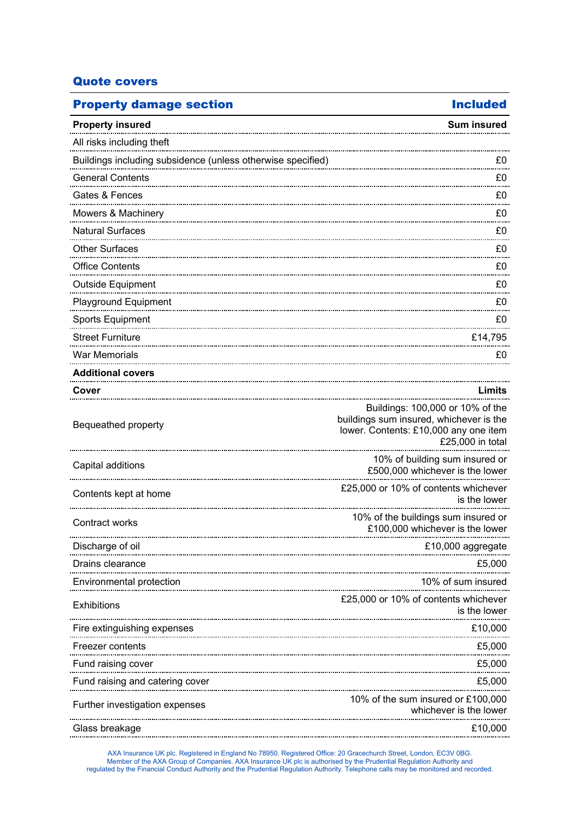# Quote covers

| <b>Property damage section</b>                              | <b>Included</b>                                                                                                                          |
|-------------------------------------------------------------|------------------------------------------------------------------------------------------------------------------------------------------|
| <b>Property insured</b>                                     | <b>Sum insured</b>                                                                                                                       |
| All risks including theft                                   |                                                                                                                                          |
| Buildings including subsidence (unless otherwise specified) | £0                                                                                                                                       |
| <b>General Contents</b>                                     | £0                                                                                                                                       |
| Gates & Fences                                              | £0                                                                                                                                       |
| Mowers & Machinery                                          | £0                                                                                                                                       |
| <b>Natural Surfaces</b>                                     | £0                                                                                                                                       |
| <b>Other Surfaces</b>                                       | £0                                                                                                                                       |
| <b>Office Contents</b>                                      | £0                                                                                                                                       |
| Outside Equipment                                           | £0                                                                                                                                       |
| Playground Equipment                                        | £0                                                                                                                                       |
| <b>Sports Equipment</b>                                     | £0                                                                                                                                       |
| <b>Street Furniture</b>                                     | £14,795                                                                                                                                  |
| <b>War Memorials</b>                                        | £0                                                                                                                                       |
| <b>Additional covers</b>                                    |                                                                                                                                          |
| Cover                                                       | Limits                                                                                                                                   |
| Bequeathed property                                         | Buildings: 100,000 or 10% of the<br>buildings sum insured, whichever is the<br>lower. Contents: £10,000 any one item<br>£25,000 in total |
| Capital additions                                           | 10% of building sum insured or<br>£500,000 whichever is the lower                                                                        |
| Contents kept at home                                       | £25,000 or 10% of contents whichever<br>is the lower                                                                                     |
| Contract works                                              | 10% of the buildings sum insured or<br>£100,000 whichever is the lower                                                                   |
| Discharge of oil                                            | £10,000 aggregate                                                                                                                        |
| Drains clearance                                            | £5,000                                                                                                                                   |
| Environmental protection                                    | 10% of sum insured                                                                                                                       |
| Exhibitions                                                 | £25,000 or 10% of contents whichever<br>is the lower                                                                                     |
| Fire extinguishing expenses                                 | £10,000                                                                                                                                  |
| Freezer contents                                            | £5,000                                                                                                                                   |
| Fund raising cover                                          | £5,000                                                                                                                                   |
| Fund raising and catering cover                             | £5,000                                                                                                                                   |
| Further investigation expenses                              | 10% of the sum insured or £100,000<br>whichever is the lower                                                                             |
| Glass breakage                                              | £10,000                                                                                                                                  |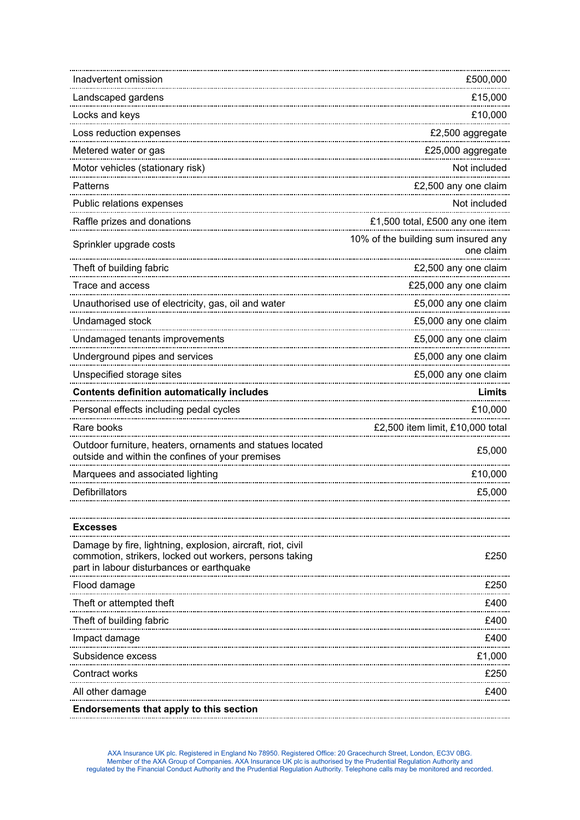| Inadvertent omission                                                                                                                                                | £500,000                                         |
|---------------------------------------------------------------------------------------------------------------------------------------------------------------------|--------------------------------------------------|
| Landscaped gardens                                                                                                                                                  | £15,000                                          |
| Locks and keys                                                                                                                                                      | £10,000                                          |
| Loss reduction expenses                                                                                                                                             | £2,500 aggregate                                 |
| Metered water or gas                                                                                                                                                | £25,000 aggregate                                |
| Motor vehicles (stationary risk)                                                                                                                                    | Not included                                     |
| Patterns                                                                                                                                                            | £2,500 any one claim                             |
| Public relations expenses                                                                                                                                           | Not included                                     |
| Raffle prizes and donations                                                                                                                                         | £1,500 total, £500 any one item                  |
| Sprinkler upgrade costs                                                                                                                                             | 10% of the building sum insured any<br>one claim |
| Theft of building fabric                                                                                                                                            | £2,500 any one claim                             |
| Trace and access                                                                                                                                                    | £25,000 any one claim                            |
| Unauthorised use of electricity, gas, oil and water                                                                                                                 | £5,000 any one claim                             |
| Undamaged stock                                                                                                                                                     | £5,000 any one claim                             |
| Undamaged tenants improvements                                                                                                                                      | £5,000 any one claim                             |
| Underground pipes and services                                                                                                                                      | £5,000 any one claim                             |
| Unspecified storage sites                                                                                                                                           | £5,000 any one claim                             |
| <b>Contents definition automatically includes</b>                                                                                                                   | Limits                                           |
| Personal effects including pedal cycles                                                                                                                             | £10,000                                          |
| Rare books                                                                                                                                                          | £2,500 item limit, £10,000 total                 |
| Outdoor furniture, heaters, ornaments and statues located<br>outside and within the confines of your premises                                                       | £5,000                                           |
|                                                                                                                                                                     | £10,000                                          |
| Defibrillators                                                                                                                                                      | £5,000                                           |
|                                                                                                                                                                     |                                                  |
| <b>Excesses</b>                                                                                                                                                     |                                                  |
| Damage by fire, lightning, explosion, aircraft, riot, civil<br>commotion, strikers, locked out workers, persons taking<br>part in labour disturbances or earthquake | £250                                             |
| Flood damage                                                                                                                                                        | £250                                             |
| Theft or attempted theft                                                                                                                                            | £400                                             |
| Theft of building fabric                                                                                                                                            | £400                                             |
| Impact damage                                                                                                                                                       | £400                                             |
| Subsidence excess                                                                                                                                                   | £1,000                                           |
| Contract works                                                                                                                                                      | £250                                             |
| All other damage                                                                                                                                                    | £400                                             |
| Endorsements that apply to this section                                                                                                                             |                                                  |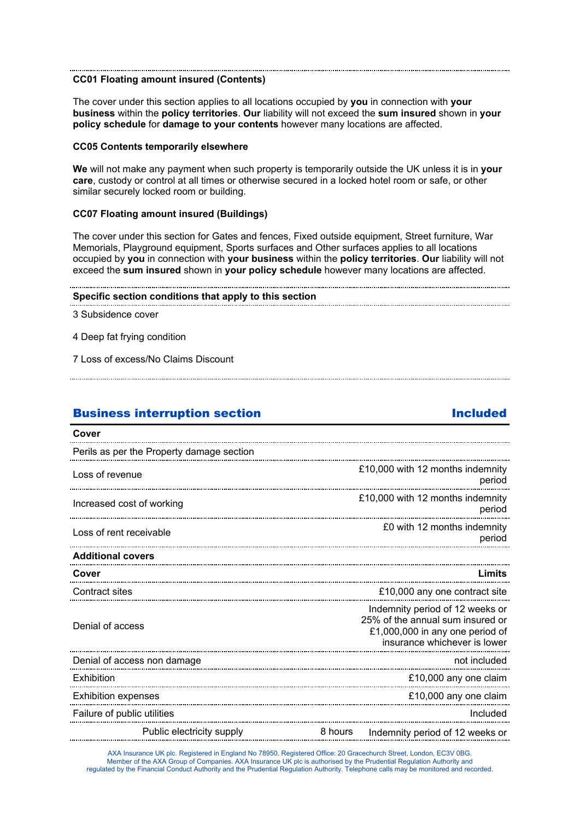### **CC01 Floating amount insured (Contents)**

The cover under this section applies to all locations occupied by **you** in connection with **your business** within the **policy territories**. **Our** liability will not exceed the **sum insured** shown in **your policy schedule** for **damage to your contents** however many locations are affected.

### **CC05 Contents temporarily elsewhere**

**We** will not make any payment when such property is temporarily outside the UK unless it is in **your care**, custody or control at all times or otherwise secured in a locked hotel room or safe, or other similar securely locked room or building.

### **CC07 Floating amount insured (Buildings)**

The cover under this section for Gates and fences, Fixed outside equipment, Street furniture, War Memorials, Playground equipment, Sports surfaces and Other surfaces applies to all locations occupied by **you** in connection with **your business** within the **policy territories**. **Our** liability will not exceed the **sum insured** shown in **your policy schedule** however many locations are affected.

### **Specific section conditions that apply to this section**

3 Subsidence cover

4 Deep fat frying condition

7 Loss of excess/No Claims Discount

# Business interruption section and a section of the Included

| Cover                                     |         |                                                                                                                                        |
|-------------------------------------------|---------|----------------------------------------------------------------------------------------------------------------------------------------|
| Perils as per the Property damage section |         |                                                                                                                                        |
| Loss of revenue                           |         | £10,000 with 12 months indemnity<br>period                                                                                             |
| Increased cost of working                 |         | £10,000 with 12 months indemnity<br>period                                                                                             |
| Loss of rent receivable                   |         | £0 with 12 months indemnity<br>period                                                                                                  |
| <b>Additional covers</b>                  |         |                                                                                                                                        |
| Cover                                     |         | Limits                                                                                                                                 |
| Contract sites                            |         | £10,000 any one contract site                                                                                                          |
| Denial of access                          |         | Indemnity period of 12 weeks or<br>25% of the annual sum insured or<br>£1,000,000 in any one period of<br>insurance whichever is lower |
| Denial of access non damage               |         | not included                                                                                                                           |
| Exhibition                                |         | £10,000 any one claim                                                                                                                  |
| <b>Exhibition expenses</b>                |         | £10,000 any one claim                                                                                                                  |
| Failure of public utilities               |         | Included                                                                                                                               |
| Public electricity supply                 | 8 hours | Indemnity period of 12 weeks or                                                                                                        |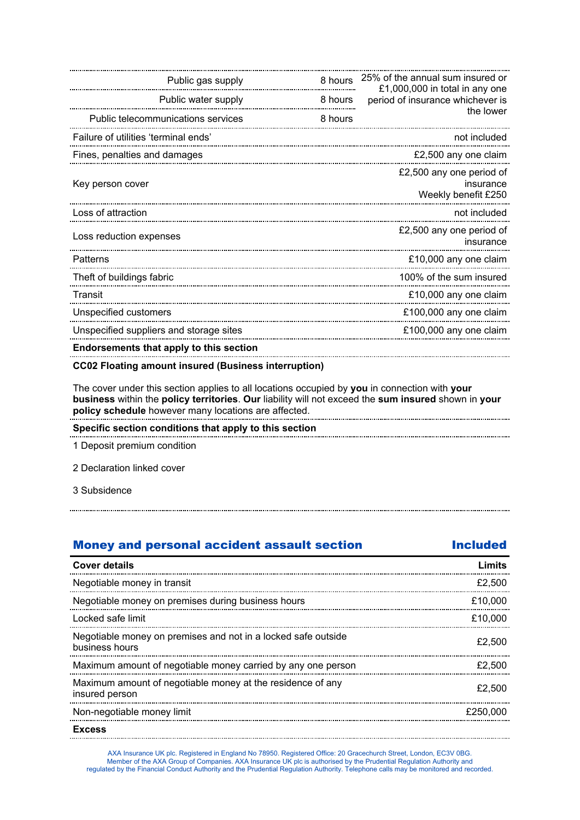| Public gas supply                              | 8 hours | 25% of the annual sum insured or<br>£1,000,000 in total in any one |
|------------------------------------------------|---------|--------------------------------------------------------------------|
| Public water supply                            | 8 hours | period of insurance whichever is                                   |
| Public telecommunications services             | 8 hours | the lower                                                          |
| Failure of utilities 'terminal ends'           |         | not included                                                       |
| Fines, penalties and damages                   |         | £2,500 any one claim                                               |
| Key person cover                               |         | £2,500 any one period of<br>insurance<br>Weekly benefit £250       |
| Loss of attraction                             |         | not included                                                       |
| Loss reduction expenses                        |         | £2,500 any one period of<br>insurance                              |
| Patterns                                       |         | £10,000 any one claim                                              |
| Theft of buildings fabric                      |         | 100% of the sum insured                                            |
| Transit                                        |         | £10,000 any one claim                                              |
| Unspecified customers                          |         | £100,000 any one claim                                             |
| Unspecified suppliers and storage sites        |         | £100,000 any one claim                                             |
| <b>Endorsements that apply to this section</b> |         |                                                                    |

### **CC02 Floating amount insured (Business interruption)**

The cover under this section applies to all locations occupied by **you** in connection with **your business** within the **policy territories**. **Our** liability will not exceed the **sum insured** shown in **your policy schedule** however many locations are affected.

**Specific section conditions that apply to this section**

1 Deposit premium condition

2 Declaration linked cover

3 Subsidence

| <b>Money and personal accident assault section</b>                              | <b>Included</b> |
|---------------------------------------------------------------------------------|-----------------|
| <b>Cover details</b>                                                            | Limits          |
| Negotiable money in transit                                                     | £2.500          |
| Negotiable money on premises during business hours                              | £10,000         |
| Locked safe limit                                                               | £10.000         |
| Negotiable money on premises and not in a locked safe outside<br>business hours | £2.500          |
| Maximum amount of negotiable money carried by any one person                    | £2.500          |
| Maximum amount of negotiable money at the residence of any<br>insured person    | £2.500          |
| Non-negotiable money limit                                                      | £250,000        |
| <b>Fxcess</b>                                                                   |                 |

AXA Insurance UK plc. Registered in England No 78950. Registered Office: 20 Gracechurch Street, London, EC3V 0BG. Member of the AXA Group of Companies. AXA Insurance UK plc is authorised by the Prudential Regulation Authority and regulated by the Financial Conduct Authority and the Prudential Regulation Authority. Telephone calls may be monitored and recorded.

**Excess**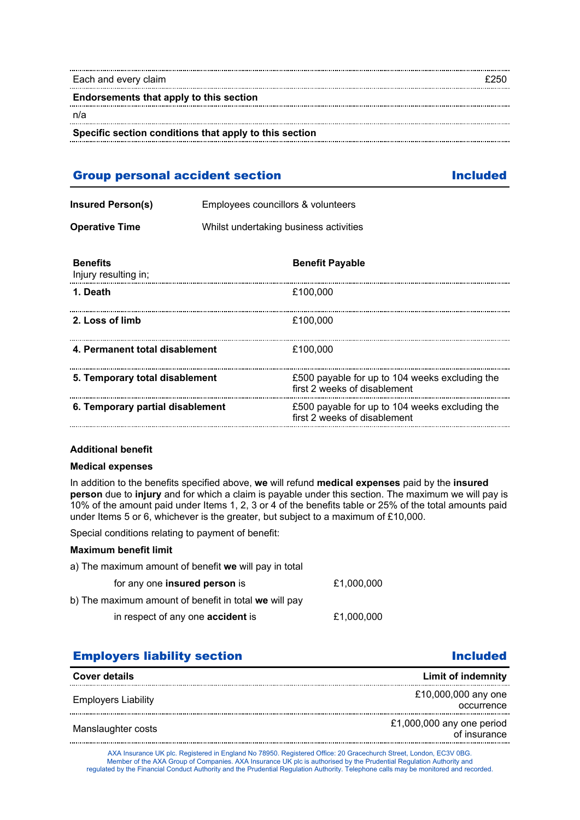| Each and every claim                                   | ようちい |
|--------------------------------------------------------|------|
| Endorsements that apply to this section                |      |
| n/a                                                    |      |
| Specific section conditions that apply to this section |      |

# Group personal accident section **Included**

| <b>Insured Person(s)</b> | Employees councillors & volunteers     |
|--------------------------|----------------------------------------|
| <b>Operative Time</b>    | Whilst undertaking business activities |

| <b>Benefits</b><br>Injury resulting in; | <b>Benefit Payable</b>                                                         |
|-----------------------------------------|--------------------------------------------------------------------------------|
| 1. Death                                | £100.000                                                                       |
| 2. Loss of limb                         | £100.000                                                                       |
| 4. Permanent total disablement          | £100.000                                                                       |
| 5. Temporary total disablement          | £500 payable for up to 104 weeks excluding the<br>first 2 weeks of disablement |
| 6. Temporary partial disablement        | £500 payable for up to 104 weeks excluding the<br>first 2 weeks of disablement |

# **Additional benefit**

### **Medical expenses**

In addition to the benefits specified above, **we** will refund **medical expenses** paid by the **insured person** due to **injury** and for which a claim is payable under this section. The maximum we will pay is 10% of the amount paid under Items 1, 2, 3 or 4 of the benefits table or 25% of the total amounts paid under Items 5 or 6, whichever is the greater, but subject to a maximum of £10,000.

Special conditions relating to payment of benefit:

## **Maximum benefit limit**

| a) The maximum amount of benefit we will pay in total |            |
|-------------------------------------------------------|------------|
| for any one insured person is                         | £1.000.000 |
| b) The maximum amount of benefit in total we will pay |            |
| in respect of any one <b>accident</b> is              | £1.000.000 |

# **Employers liability section Included Included**

| <b>Cover details</b>       | Limit of indemnity                        |
|----------------------------|-------------------------------------------|
| <b>Employers Liability</b> | £10,000,000 any one<br>occurrence         |
| Manslaughter costs         | £1,000,000 any one period<br>of insurance |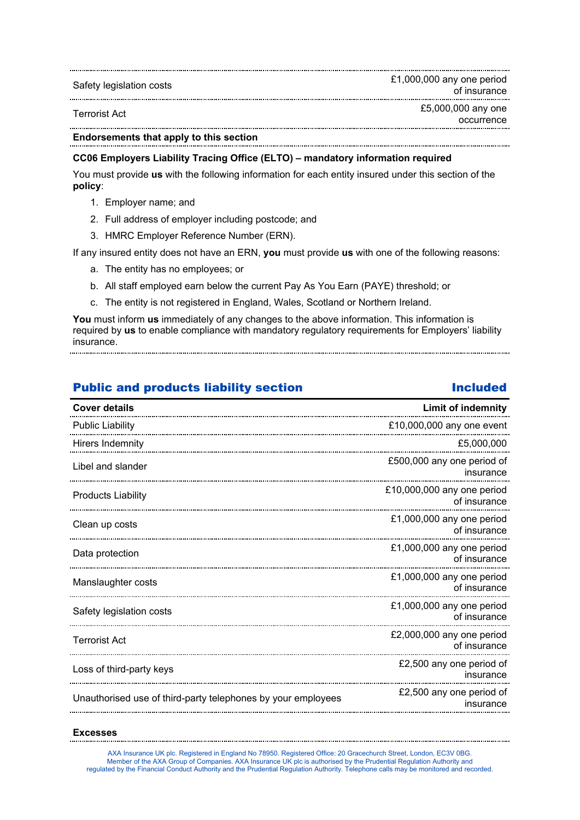| Safety legislation costs | £1,000,000 any one period<br>of insurance |
|--------------------------|-------------------------------------------|
| Terrorist Act            | £5,000,000 any one<br>occurrence          |

**Endorsements that apply to this section**

## **CC06 Employers Liability Tracing Office (ELTO) – mandatory information required**

You must provide **us** with the following information for each entity insured under this section of the **policy**:

- 1. Employer name; and
- 2. Full address of employer including postcode; and
- 3. HMRC Employer Reference Number (ERN).

If any insured entity does not have an ERN, **you** must provide **us** with one of the following reasons:

- a. The entity has no employees; or
- b. All staff employed earn below the current Pay As You Earn (PAYE) threshold; or
- c. The entity is not registered in England, Wales, Scotland or Northern Ireland.

**You** must inform **us** immediately of any changes to the above information. This information is required by **us** to enable compliance with mandatory regulatory requirements for Employers' liability insurance.

# Public and products liability section **Included**

# **Cover details Limit of indemnity** Public Liability £10,000,000 any one event Hirers Indemnity £5,000,000 Libel and slander **E500,000** any one period of insurance Products Liability £10,000,000 any one period of insurance Clean up costs £1,000,000 any one period of insurance Data protection **E1,000,000** any one period **E1**,000,000 any one period of insurance Manslaughter costs **E1,000,000** any one period of insurance Safety legislation costs **E1,000,000** any one period **E1**,000,000 any one period of insurance Terrorist Act £2,000,000 any one period of insurance Loss of third-party keys **E2**,500 any one period of insurance Unauthorised use of third-party telephones by your employees **E2,500** any one period of insurance

### **Excesses**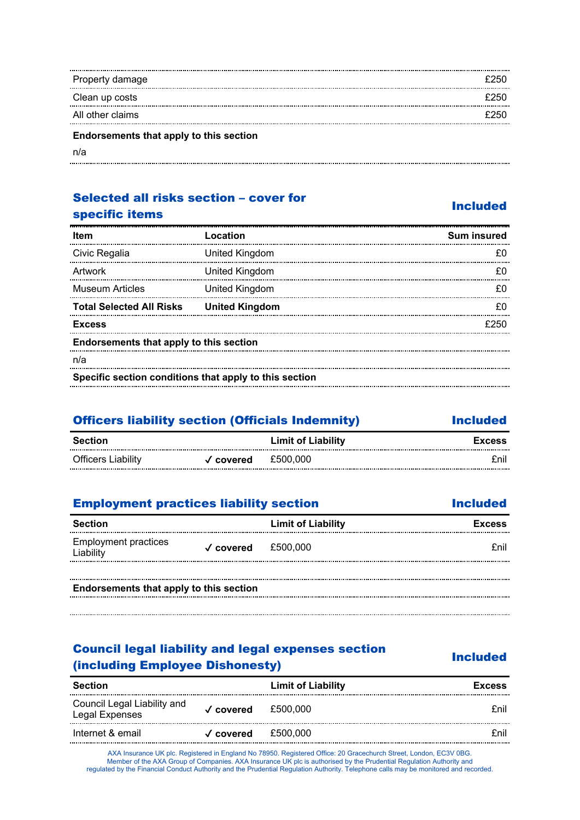| Property damage                         | £250 |
|-----------------------------------------|------|
| Clean up costs                          | £250 |
| All other claims                        | £250 |
| Endorsements that apply to this section |      |

n/a .....................

# Selected all risks section – cover for specific items and section and specific items

| <b>Item</b>                                            | Location              | <b>Sum insured</b> |
|--------------------------------------------------------|-----------------------|--------------------|
| Civic Regalia                                          | United Kingdom        |                    |
| Artwork                                                | United Kingdom        | £0                 |
| <b>Museum Articles</b>                                 | United Kingdom        |                    |
| <b>Total Selected All Risks</b>                        | <b>United Kingdom</b> |                    |
| <b>Excess</b>                                          |                       |                    |
| Endorsements that apply to this section                |                       |                    |
| n/a                                                    |                       |                    |
| Specific section conditions that apply to this section |                       |                    |

| <b>Officers liability section (Officials Indemnity)</b> |           | <b>Included</b>           |               |
|---------------------------------------------------------|-----------|---------------------------|---------------|
| Section                                                 |           | <b>Limit of Liability</b> | <b>Excess</b> |
| Officers Liability                                      | √ covered | £500.000                  | fnil          |

# **Employment practices liability section Included Included**

| Section                                  |                              | <b>Limit of Liability</b> | <b>Excess</b> |
|------------------------------------------|------------------------------|---------------------------|---------------|
| <b>Employment practices</b><br>Liability | $\sqrt{\phantom{a}}$ covered | £500.000                  | fnil          |
|                                          |                              |                           |               |
| Endorsements that apply to this section  |                              |                           |               |

# Council legal liability and legal expenses section Uncluding Employee Dishonesty)<br>
(including Employee Dishonesty)

| <b>Section</b>                                |                              | <b>Limit of Liability</b> | <b>Excess</b> |
|-----------------------------------------------|------------------------------|---------------------------|---------------|
| Council Legal Liability and<br>Legal Expenses | $\sqrt{\phantom{a}}$ covered | £500.000                  | fnil          |
| Internet & email                              | $\sqrt{\phantom{a}}$ covered | £500.000                  | fnil          |